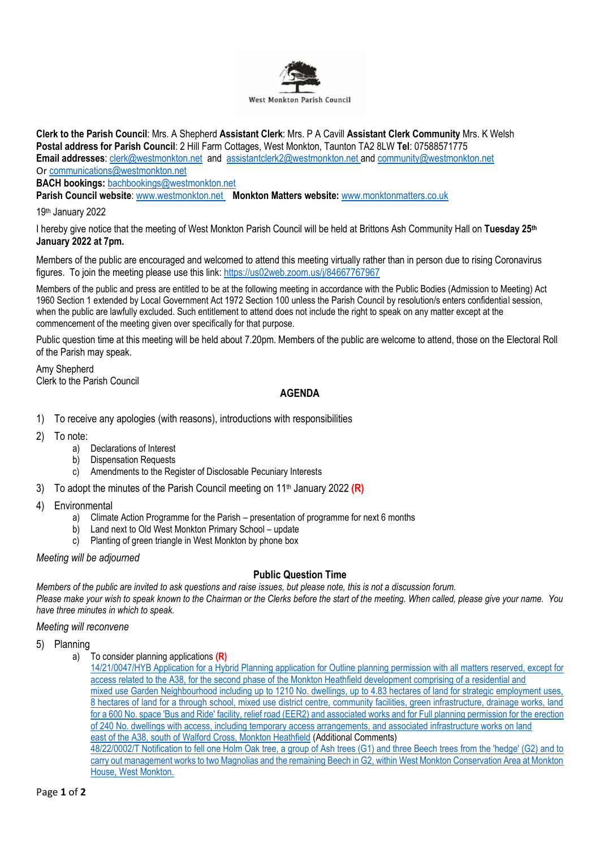

**Clerk to the Parish Council**: Mrs. A Shepherd **Assistant Clerk**: Mrs. P A Cavill **Assistant Clerk Community** Mrs. K Welsh **Postal address for Parish Council**: 2 Hill Farm Cottages, West Monkton, Taunton TA2 8LW **Tel**: 07588571775 **Email addresses**: [clerk@westmonkton.net](mailto:clerk@westmonkton.net) and [assistantclerk2@westmonkton.net](mailto:assistantclerk2@westmonkton.net) an[d community@westmonkton.net](mailto:community@westmonkton.net) Or [communications@westmonkton.net](mailto:communications@westmonkton.net)

**BACH bookings:** [bachbookings@westmonkton.net](mailto:bachbookings@westmonkton.net)

**Parish Council website**: [www.westmonkton.net](http://www.westmonkton.net/) **Monkton Matters website:** [www.monktonmatters.co.uk](http://www.monktonmatters.co.uk/)

19th January 2022

I hereby give notice that the meeting of West Monkton Parish Council will be held at Brittons Ash Community Hall on **Tuesday 25th January 2022 at 7pm.**

Members of the public are encouraged and welcomed to attend this meeting virtually rather than in person due to rising Coronavirus figures. To join the meeting please use this link:<https://us02web.zoom.us/j/84667767967>

Members of the public and press are entitled to be at the following meeting in accordance with the Public Bodies (Admission to Meeting) Act 1960 Section 1 extended by Local Government Act 1972 Section 100 unless the Parish Council by resolution/s enters confidential session, when the public are lawfully excluded. Such entitlement to attend does not include the right to speak on any matter except at the commencement of the meeting given over specifically for that purpose.

Public question time at this meeting will be held about 7.20pm. Members of the public are welcome to attend, those on the Electoral Roll of the Parish may speak.

Amy Shepherd Clerk to the Parish Council

## **AGENDA**

- 1) To receive any apologies (with reasons), introductions with responsibilities
- 2) To note:
	- a) Declarations of Interest
	- b) Dispensation Requests
	- c) Amendments to the Register of Disclosable Pecuniary Interests
- 3) To adopt the minutes of the Parish Council meeting on 11th January 2022 **(R)**
- 4) Environmental
	- a) Climate Action Programme for the Parish presentation of programme for next 6 months
	- b) Land next to Old West Monkton Primary School update
	- c) Planting of green triangle in West Monkton by phone box

## *Meeting will be adjourned*

## **Public Question Time**

*Members of the public are invited to ask questions and raise issues, but please note, this is not a discussion forum. Please make your wish to speak known to the Chairman or the Clerks before the start of the meeting. When called, please give your name. You have three minutes in which to speak.*

*Meeting will reconvene*

- 5) Planning
	- a) To consider planning applications **(R)**

[House, West Monkton.](https://www3.somersetwestandtaunton.gov.uk/asp/webpages/plan/PlAppDets.asp?casefullref=48/22/0002/T&QC=wcWC1)

[14/21/0047/HYB Application for a Hybrid Planning application for Outline planning permission with all matters reserved, except for](https://www3.somersetwestandtaunton.gov.uk/asp/webpages/plan/PlAppDets.asp?casefullref=14/21/0047/HYB&QC=7VWC1)  [access related to the A38, for the second phase of the Monkton Heathfield development comprising of a residential and](https://www3.somersetwestandtaunton.gov.uk/asp/webpages/plan/PlAppDets.asp?casefullref=14/21/0047/HYB&QC=7VWC1) [mixed use Garden Neighbourhood including up to 1210 No. dwellings, up to 4.83 hectares of land for strategic employment uses,](https://www3.somersetwestandtaunton.gov.uk/asp/webpages/plan/PlAppDets.asp?casefullref=14/21/0047/HYB&QC=7VWC1) 8 hectares of [land for a through school, mixed use district centre, community facilities, green infrastructure, drainage works, land](https://www3.somersetwestandtaunton.gov.uk/asp/webpages/plan/PlAppDets.asp?casefullref=14/21/0047/HYB&QC=7VWC1)  [for a 600 No. space 'Bus and Ride' facility, relief road \(EER2\) and associated works and for Full planning permission for the](https://www3.somersetwestandtaunton.gov.uk/asp/webpages/plan/PlAppDets.asp?casefullref=14/21/0047/HYB&QC=7VWC1) erection [of 240 No. dwellings with access, including temporary access arrangements, and associated infrastructure works on land](https://www3.somersetwestandtaunton.gov.uk/asp/webpages/plan/PlAppDets.asp?casefullref=14/21/0047/HYB&QC=7VWC1) [east of the A38, south of Walford Cross, Monkton Heathfield](https://www3.somersetwestandtaunton.gov.uk/asp/webpages/plan/PlAppDets.asp?casefullref=14/21/0047/HYB&QC=7VWC1) (Additional Comments) [48/22/0002/T Notification to fell one Holm Oak tree, a group of Ash trees \(G1\) and three Beech trees from the 'hedge' \(G2\) and to](https://www3.somersetwestandtaunton.gov.uk/asp/webpages/plan/PlAppDets.asp?casefullref=48/22/0002/T&QC=wcWC1)  [carry out management works to two Magnolias and the remaining Beech in G2, within West Monkton Conservation Area at Monkton](https://www3.somersetwestandtaunton.gov.uk/asp/webpages/plan/PlAppDets.asp?casefullref=48/22/0002/T&QC=wcWC1)